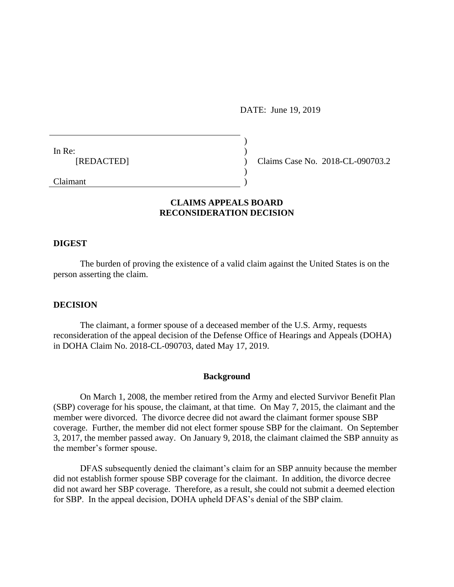DATE: June 19, 2019

In Re: [REDACTED]

Claims Case No. 2018-CL-090703.2

Claimant

## **CLAIMS APPEALS BOARD RECONSIDERATION DECISION**

) )  $\lambda$ ) )

#### **DIGEST**

The burden of proving the existence of a valid claim against the United States is on the person asserting the claim.

### **DECISION**

The claimant, a former spouse of a deceased member of the U.S. Army, requests reconsideration of the appeal decision of the Defense Office of Hearings and Appeals (DOHA) in DOHA Claim No. 2018-CL-090703, dated May 17, 2019.

#### **Background**

On March 1, 2008, the member retired from the Army and elected Survivor Benefit Plan (SBP) coverage for his spouse, the claimant, at that time. On May 7, 2015, the claimant and the member were divorced. The divorce decree did not award the claimant former spouse SBP coverage. Further, the member did not elect former spouse SBP for the claimant. On September 3, 2017, the member passed away. On January 9, 2018, the claimant claimed the SBP annuity as the member's former spouse.

DFAS subsequently denied the claimant's claim for an SBP annuity because the member did not establish former spouse SBP coverage for the claimant. In addition, the divorce decree did not award her SBP coverage. Therefore, as a result, she could not submit a deemed election for SBP. In the appeal decision, DOHA upheld DFAS's denial of the SBP claim.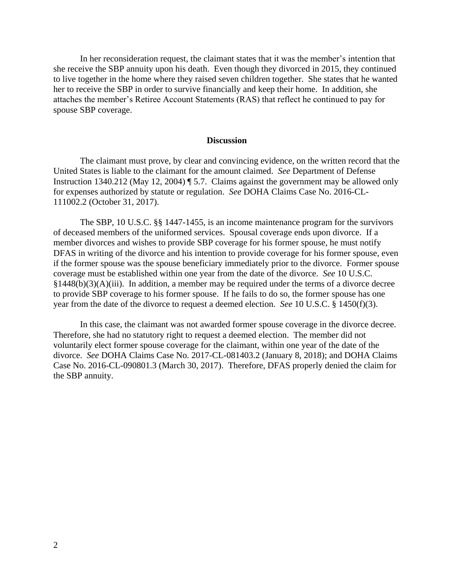In her reconsideration request, the claimant states that it was the member's intention that she receive the SBP annuity upon his death. Even though they divorced in 2015, they continued to live together in the home where they raised seven children together. She states that he wanted her to receive the SBP in order to survive financially and keep their home. In addition, she attaches the member's Retiree Account Statements (RAS) that reflect he continued to pay for spouse SBP coverage.

### **Discussion**

The claimant must prove, by clear and convincing evidence, on the written record that the United States is liable to the claimant for the amount claimed. *See* Department of Defense Instruction 1340.212 (May 12, 2004) ¶ 5.7. Claims against the government may be allowed only for expenses authorized by statute or regulation. *See* DOHA Claims Case No. 2016-CL-111002.2 (October 31, 2017).

The SBP, 10 U.S.C. §§ 1447-1455, is an income maintenance program for the survivors of deceased members of the uniformed services. Spousal coverage ends upon divorce. If a member divorces and wishes to provide SBP coverage for his former spouse, he must notify DFAS in writing of the divorce and his intention to provide coverage for his former spouse, even if the former spouse was the spouse beneficiary immediately prior to the divorce. Former spouse coverage must be established within one year from the date of the divorce. *See* 10 U.S.C.  $§1448(b)(3)(A)(iii)$ . In addition, a member may be required under the terms of a divorce decree to provide SBP coverage to his former spouse. If he fails to do so, the former spouse has one year from the date of the divorce to request a deemed election. *See* 10 U.S.C. § 1450(f)(3).

In this case, the claimant was not awarded former spouse coverage in the divorce decree. Therefore, she had no statutory right to request a deemed election. The member did not voluntarily elect former spouse coverage for the claimant, within one year of the date of the divorce. *See* DOHA Claims Case No. 2017-CL-081403.2 (January 8, 2018); and DOHA Claims Case No. 2016-CL-090801.3 (March 30, 2017). Therefore, DFAS properly denied the claim for the SBP annuity.